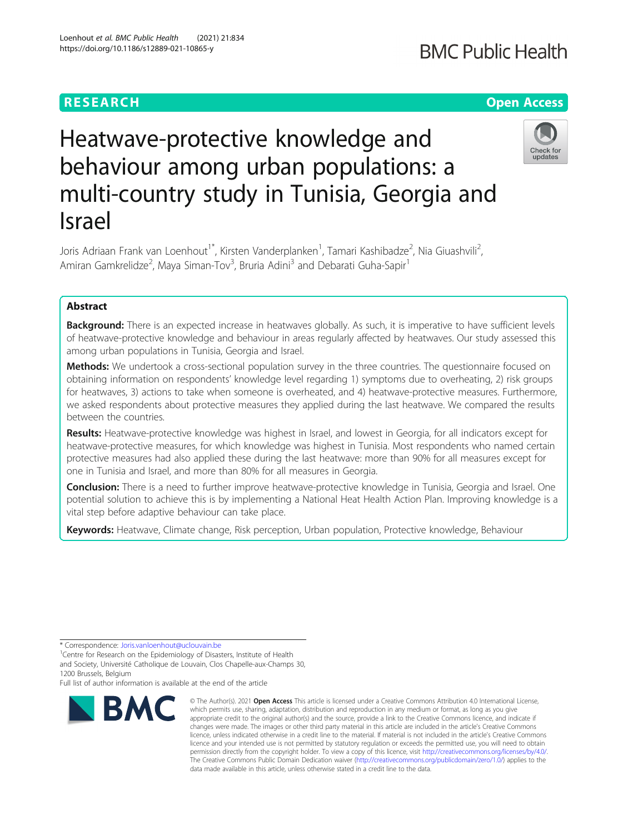## **RESEARCH CHE Open Access**

# Heatwave-protective knowledge and behaviour among urban populations: a multi-country study in Tunisia, Georgia and Israel

Joris Adriaan Frank van Loenhout<sup>1\*</sup>, Kirsten Vanderplanken<sup>1</sup>, Tamari Kashibadze<sup>2</sup>, Nia Giuashvili<sup>2</sup> .<br>, Amiran Gamkrelidze<sup>2</sup>, Maya Siman-Tov<sup>3</sup>, Bruria Adini<sup>3</sup> and Debarati Guha-Sapir<sup>1</sup>

## Abstract

Background: There is an expected increase in heatwaves globally. As such, it is imperative to have sufficient levels of heatwave-protective knowledge and behaviour in areas regularly affected by heatwaves. Our study assessed this among urban populations in Tunisia, Georgia and Israel.

**Methods:** We undertook a cross-sectional population survey in the three countries. The questionnaire focused on obtaining information on respondents' knowledge level regarding 1) symptoms due to overheating, 2) risk groups for heatwaves, 3) actions to take when someone is overheated, and 4) heatwave-protective measures. Furthermore, we asked respondents about protective measures they applied during the last heatwave. We compared the results between the countries.

Results: Heatwave-protective knowledge was highest in Israel, and lowest in Georgia, for all indicators except for heatwave-protective measures, for which knowledge was highest in Tunisia. Most respondents who named certain protective measures had also applied these during the last heatwave: more than 90% for all measures except for one in Tunisia and Israel, and more than 80% for all measures in Georgia.

Conclusion: There is a need to further improve heatwave-protective knowledge in Tunisia, Georgia and Israel. One potential solution to achieve this is by implementing a National Heat Health Action Plan. Improving knowledge is a vital step before adaptive behaviour can take place.

data made available in this article, unless otherwise stated in a credit line to the data.

Keywords: Heatwave, Climate change, Risk perception, Urban population, Protective knowledge, Behaviour

Full list of author information is available at the end of the article



© The Author(s), 2021 **Open Access** This article is licensed under a Creative Commons Attribution 4.0 International License, which permits use, sharing, adaptation, distribution and reproduction in any medium or format, as long as you give appropriate credit to the original author(s) and the source, provide a link to the Creative Commons licence, and indicate if changes were made. The images or other third party material in this article are included in the article's Creative Commons licence, unless indicated otherwise in a credit line to the material. If material is not included in the article's Creative Commons licence and your intended use is not permitted by statutory regulation or exceeds the permitted use, you will need to obtain permission directly from the copyright holder. To view a copy of this licence, visit [http://creativecommons.org/licenses/by/4.0/.](http://creativecommons.org/licenses/by/4.0/) The Creative Commons Public Domain Dedication waiver [\(http://creativecommons.org/publicdomain/zero/1.0/](http://creativecommons.org/publicdomain/zero/1.0/)) applies to the







<sup>\*</sup> Correspondence: [Joris.vanloenhout@uclouvain.be](mailto:Joris.vanloenhout@uclouvain.be) <sup>1</sup>

<sup>&</sup>lt;sup>1</sup>Centre for Research on the Epidemiology of Disasters, Institute of Health and Society, Université Catholique de Louvain, Clos Chapelle-aux-Champs 30,

<sup>1200</sup> Brussels, Belgium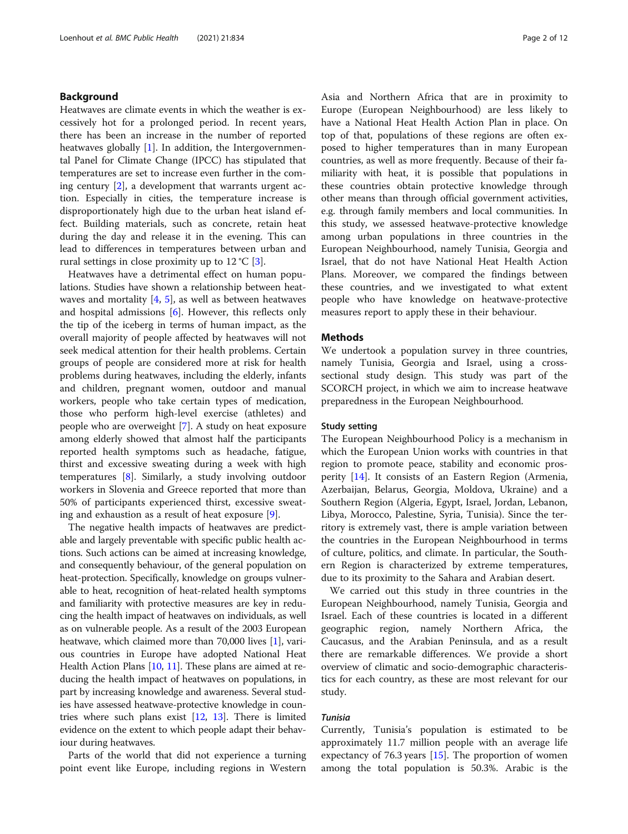## Background

Heatwaves are climate events in which the weather is excessively hot for a prolonged period. In recent years, there has been an increase in the number of reported heatwaves globally [[1](#page-10-0)]. In addition, the Intergovernmental Panel for Climate Change (IPCC) has stipulated that temperatures are set to increase even further in the coming century [[2\]](#page-10-0), a development that warrants urgent action. Especially in cities, the temperature increase is disproportionately high due to the urban heat island effect. Building materials, such as concrete, retain heat during the day and release it in the evening. This can lead to differences in temperatures between urban and rural settings in close proximity up to  $12 \degree C$  [[3\]](#page-10-0).

Heatwaves have a detrimental effect on human populations. Studies have shown a relationship between heatwaves and mortality  $[4, 5]$  $[4, 5]$  $[4, 5]$  $[4, 5]$  $[4, 5]$ , as well as between heatwaves and hospital admissions [[6\]](#page-10-0). However, this reflects only the tip of the iceberg in terms of human impact, as the overall majority of people affected by heatwaves will not seek medical attention for their health problems. Certain groups of people are considered more at risk for health problems during heatwaves, including the elderly, infants and children, pregnant women, outdoor and manual workers, people who take certain types of medication, those who perform high-level exercise (athletes) and people who are overweight [[7\]](#page-10-0). A study on heat exposure among elderly showed that almost half the participants reported health symptoms such as headache, fatigue, thirst and excessive sweating during a week with high temperatures [\[8\]](#page-10-0). Similarly, a study involving outdoor workers in Slovenia and Greece reported that more than 50% of participants experienced thirst, excessive sweating and exhaustion as a result of heat exposure [[9\]](#page-10-0).

The negative health impacts of heatwaves are predictable and largely preventable with specific public health actions. Such actions can be aimed at increasing knowledge, and consequently behaviour, of the general population on heat-protection. Specifically, knowledge on groups vulnerable to heat, recognition of heat-related health symptoms and familiarity with protective measures are key in reducing the health impact of heatwaves on individuals, as well as on vulnerable people. As a result of the 2003 European heatwave, which claimed more than 70,000 lives [\[1\]](#page-10-0), various countries in Europe have adopted National Heat Health Action Plans [[10](#page-10-0), [11\]](#page-10-0). These plans are aimed at reducing the health impact of heatwaves on populations, in part by increasing knowledge and awareness. Several studies have assessed heatwave-protective knowledge in countries where such plans exist [\[12,](#page-10-0) [13\]](#page-10-0). There is limited evidence on the extent to which people adapt their behaviour during heatwaves.

Parts of the world that did not experience a turning point event like Europe, including regions in Western Asia and Northern Africa that are in proximity to Europe (European Neighbourhood) are less likely to have a National Heat Health Action Plan in place. On top of that, populations of these regions are often exposed to higher temperatures than in many European countries, as well as more frequently. Because of their familiarity with heat, it is possible that populations in these countries obtain protective knowledge through other means than through official government activities, e.g. through family members and local communities. In this study, we assessed heatwave-protective knowledge among urban populations in three countries in the European Neighbourhood, namely Tunisia, Georgia and Israel, that do not have National Heat Health Action Plans. Moreover, we compared the findings between these countries, and we investigated to what extent people who have knowledge on heatwave-protective measures report to apply these in their behaviour.

## **Methods**

We undertook a population survey in three countries, namely Tunisia, Georgia and Israel, using a crosssectional study design. This study was part of the SCORCH project, in which we aim to increase heatwave preparedness in the European Neighbourhood.

## Study setting

The European Neighbourhood Policy is a mechanism in which the European Union works with countries in that region to promote peace, stability and economic prosperity [[14\]](#page-10-0). It consists of an Eastern Region (Armenia, Azerbaijan, Belarus, Georgia, Moldova, Ukraine) and a Southern Region (Algeria, Egypt, Israel, Jordan, Lebanon, Libya, Morocco, Palestine, Syria, Tunisia). Since the territory is extremely vast, there is ample variation between the countries in the European Neighbourhood in terms of culture, politics, and climate. In particular, the Southern Region is characterized by extreme temperatures, due to its proximity to the Sahara and Arabian desert.

We carried out this study in three countries in the European Neighbourhood, namely Tunisia, Georgia and Israel. Each of these countries is located in a different geographic region, namely Northern Africa, the Caucasus, and the Arabian Peninsula, and as a result there are remarkable differences. We provide a short overview of climatic and socio-demographic characteristics for each country, as these are most relevant for our study.

## Tunisia

Currently, Tunisia's population is estimated to be approximately 11.7 million people with an average life expectancy of 76.3 years [[15\]](#page-10-0). The proportion of women among the total population is 50.3%. Arabic is the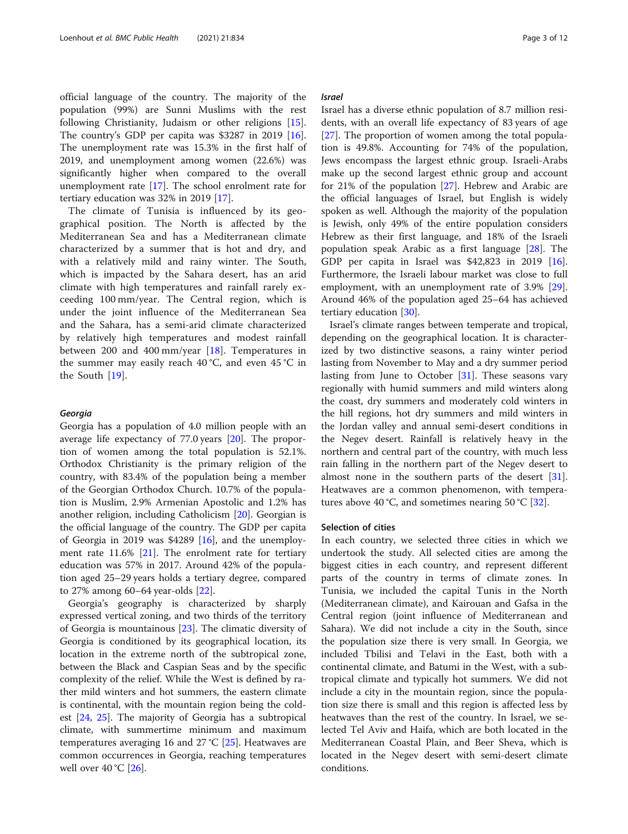official language of the country. The majority of the population (99%) are Sunni Muslims with the rest following Christianity, Judaism or other religions [\[15](#page-10-0)]. The country's GDP per capita was \$3287 in 2019 [\[16](#page-10-0)]. The unemployment rate was 15.3% in the first half of 2019, and unemployment among women (22.6%) was significantly higher when compared to the overall unemployment rate [[17](#page-10-0)]. The school enrolment rate for tertiary education was 32% in 2019 [\[17](#page-10-0)].

The climate of Tunisia is influenced by its geographical position. The North is affected by the Mediterranean Sea and has a Mediterranean climate characterized by a summer that is hot and dry, and with a relatively mild and rainy winter. The South, which is impacted by the Sahara desert, has an arid climate with high temperatures and rainfall rarely exceeding 100 mm/year. The Central region, which is under the joint influence of the Mediterranean Sea and the Sahara, has a semi-arid climate characterized by relatively high temperatures and modest rainfall between 200 and 400 mm/year [[18\]](#page-10-0). Temperatures in the summer may easily reach 40 °C, and even 45 °C in the South [\[19](#page-11-0)].

#### Georgia

Georgia has a population of 4.0 million people with an average life expectancy of 77.0 years [\[20](#page-11-0)]. The proportion of women among the total population is 52.1%. Orthodox Christianity is the primary religion of the country, with 83.4% of the population being a member of the Georgian Orthodox Church. 10.7% of the population is Muslim, 2.9% Armenian Apostolic and 1.2% has another religion, including Catholicism [[20\]](#page-11-0). Georgian is the official language of the country. The GDP per capita of Georgia in 2019 was \$4289 [\[16](#page-10-0)], and the unemployment rate 11.6% [\[21](#page-11-0)]. The enrolment rate for tertiary education was 57% in 2017. Around 42% of the population aged 25–29 years holds a tertiary degree, compared to 27% among 60–64 year-olds [[22\]](#page-11-0).

Georgia's geography is characterized by sharply expressed vertical zoning, and two thirds of the territory of Georgia is mountainous [\[23](#page-11-0)]. The climatic diversity of Georgia is conditioned by its geographical location, its location in the extreme north of the subtropical zone, between the Black and Caspian Seas and by the specific complexity of the relief. While the West is defined by rather mild winters and hot summers, the eastern climate is continental, with the mountain region being the coldest [[24](#page-11-0), [25\]](#page-11-0). The majority of Georgia has a subtropical climate, with summertime minimum and maximum temperatures averaging 16 and 27 °C [\[25](#page-11-0)]. Heatwaves are common occurrences in Georgia, reaching temperatures well over  $40^{\circ}$ C [[26\]](#page-11-0).

#### Israel

Israel has a diverse ethnic population of 8.7 million residents, with an overall life expectancy of 83 years of age [[27\]](#page-11-0). The proportion of women among the total population is 49.8%. Accounting for 74% of the population, Jews encompass the largest ethnic group. Israeli-Arabs make up the second largest ethnic group and account for 21% of the population [[27\]](#page-11-0). Hebrew and Arabic are the official languages of Israel, but English is widely spoken as well. Although the majority of the population is Jewish, only 49% of the entire population considers Hebrew as their first language, and 18% of the Israeli population speak Arabic as a first language [\[28\]](#page-11-0). The GDP per capita in Israel was \$42,823 in 2019 [\[16](#page-10-0)]. Furthermore, the Israeli labour market was close to full employment, with an unemployment rate of 3.9% [\[29](#page-11-0)]. Around 46% of the population aged 25–64 has achieved tertiary education [\[30](#page-11-0)].

Israel's climate ranges between temperate and tropical, depending on the geographical location. It is characterized by two distinctive seasons, a rainy winter period lasting from November to May and a dry summer period lasting from June to October [\[31](#page-11-0)]. These seasons vary regionally with humid summers and mild winters along the coast, dry summers and moderately cold winters in the hill regions, hot dry summers and mild winters in the Jordan valley and annual semi-desert conditions in the Negev desert. Rainfall is relatively heavy in the northern and central part of the country, with much less rain falling in the northern part of the Negev desert to almost none in the southern parts of the desert [\[31](#page-11-0)]. Heatwaves are a common phenomenon, with tempera-tures above 40 °C, and sometimes nearing 50 °C [[32\]](#page-11-0).

#### Selection of cities

In each country, we selected three cities in which we undertook the study. All selected cities are among the biggest cities in each country, and represent different parts of the country in terms of climate zones. In Tunisia, we included the capital Tunis in the North (Mediterranean climate), and Kairouan and Gafsa in the Central region (joint influence of Mediterranean and Sahara). We did not include a city in the South, since the population size there is very small. In Georgia, we included Tbilisi and Telavi in the East, both with a continental climate, and Batumi in the West, with a subtropical climate and typically hot summers. We did not include a city in the mountain region, since the population size there is small and this region is affected less by heatwaves than the rest of the country. In Israel, we selected Tel Aviv and Haifa, which are both located in the Mediterranean Coastal Plain, and Beer Sheva, which is located in the Negev desert with semi-desert climate conditions.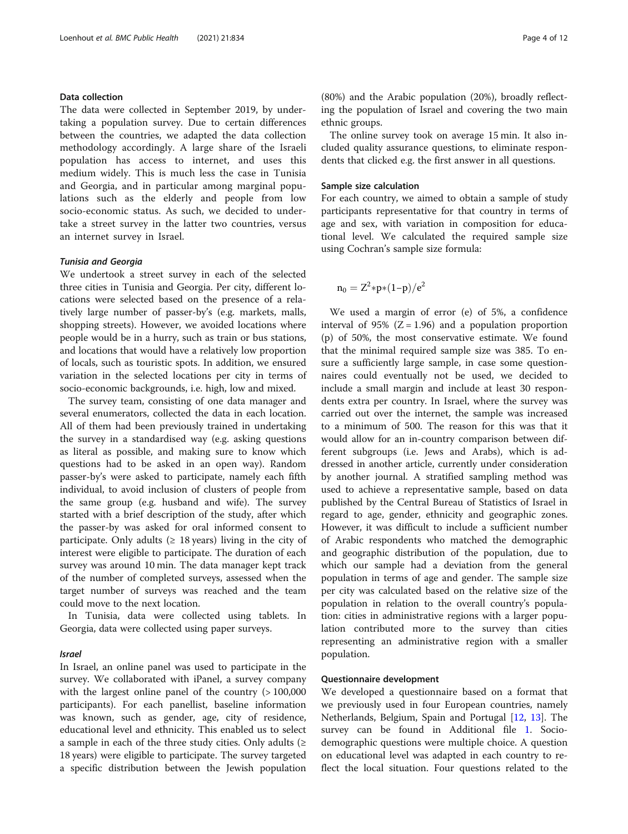## Data collection

The data were collected in September 2019, by undertaking a population survey. Due to certain differences between the countries, we adapted the data collection methodology accordingly. A large share of the Israeli population has access to internet, and uses this medium widely. This is much less the case in Tunisia and Georgia, and in particular among marginal populations such as the elderly and people from low socio-economic status. As such, we decided to undertake a street survey in the latter two countries, versus an internet survey in Israel.

#### Tunisia and Georgia

We undertook a street survey in each of the selected three cities in Tunisia and Georgia. Per city, different locations were selected based on the presence of a relatively large number of passer-by's (e.g. markets, malls, shopping streets). However, we avoided locations where people would be in a hurry, such as train or bus stations, and locations that would have a relatively low proportion of locals, such as touristic spots. In addition, we ensured variation in the selected locations per city in terms of socio-economic backgrounds, i.e. high, low and mixed.

The survey team, consisting of one data manager and several enumerators, collected the data in each location. All of them had been previously trained in undertaking the survey in a standardised way (e.g. asking questions as literal as possible, and making sure to know which questions had to be asked in an open way). Random passer-by's were asked to participate, namely each fifth individual, to avoid inclusion of clusters of people from the same group (e.g. husband and wife). The survey started with a brief description of the study, after which the passer-by was asked for oral informed consent to participate. Only adults ( $\geq 18$  years) living in the city of interest were eligible to participate. The duration of each survey was around 10 min. The data manager kept track of the number of completed surveys, assessed when the target number of surveys was reached and the team could move to the next location.

In Tunisia, data were collected using tablets. In Georgia, data were collected using paper surveys.

## Israel

In Israel, an online panel was used to participate in the survey. We collaborated with iPanel, a survey company with the largest online panel of the country ( $> 100,000$ participants). For each panellist, baseline information was known, such as gender, age, city of residence, educational level and ethnicity. This enabled us to select a sample in each of the three study cities. Only adults  $(≥$ 18 years) were eligible to participate. The survey targeted a specific distribution between the Jewish population (80%) and the Arabic population (20%), broadly reflecting the population of Israel and covering the two main ethnic groups.

The online survey took on average 15 min. It also included quality assurance questions, to eliminate respondents that clicked e.g. the first answer in all questions.

#### Sample size calculation

For each country, we aimed to obtain a sample of study participants representative for that country in terms of age and sex, with variation in composition for educational level. We calculated the required sample size using Cochran's sample size formula:

$$
n_0=Z^2*p*(1-p)/e^2
$$

We used a margin of error (e) of 5%, a confidence interval of 95% ( $Z = 1.96$ ) and a population proportion (p) of 50%, the most conservative estimate. We found that the minimal required sample size was 385. To ensure a sufficiently large sample, in case some questionnaires could eventually not be used, we decided to include a small margin and include at least 30 respondents extra per country. In Israel, where the survey was carried out over the internet, the sample was increased to a minimum of 500. The reason for this was that it would allow for an in-country comparison between different subgroups (i.e. Jews and Arabs), which is addressed in another article, currently under consideration by another journal. A stratified sampling method was used to achieve a representative sample, based on data published by the Central Bureau of Statistics of Israel in regard to age, gender, ethnicity and geographic zones. However, it was difficult to include a sufficient number of Arabic respondents who matched the demographic and geographic distribution of the population, due to which our sample had a deviation from the general population in terms of age and gender. The sample size per city was calculated based on the relative size of the population in relation to the overall country's population: cities in administrative regions with a larger population contributed more to the survey than cities representing an administrative region with a smaller population.

## Questionnaire development

We developed a questionnaire based on a format that we previously used in four European countries, namely Netherlands, Belgium, Spain and Portugal [\[12](#page-10-0), [13](#page-10-0)]. The survey can be found in Additional file [1.](#page-10-0) Sociodemographic questions were multiple choice. A question on educational level was adapted in each country to reflect the local situation. Four questions related to the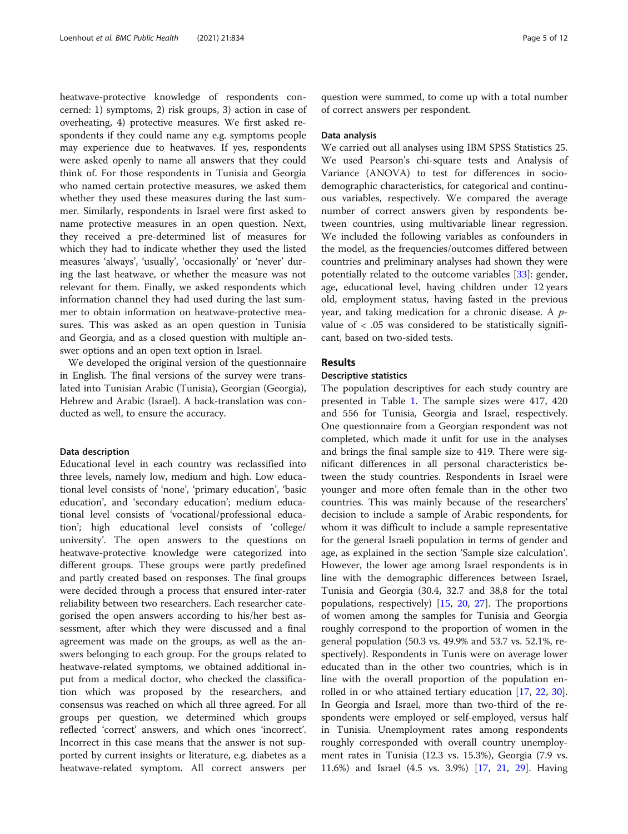heatwave-protective knowledge of respondents concerned: 1) symptoms, 2) risk groups, 3) action in case of overheating, 4) protective measures. We first asked respondents if they could name any e.g. symptoms people may experience due to heatwaves. If yes, respondents were asked openly to name all answers that they could think of. For those respondents in Tunisia and Georgia who named certain protective measures, we asked them whether they used these measures during the last summer. Similarly, respondents in Israel were first asked to name protective measures in an open question. Next, they received a pre-determined list of measures for which they had to indicate whether they used the listed measures 'always', 'usually', 'occasionally' or 'never' during the last heatwave, or whether the measure was not relevant for them. Finally, we asked respondents which information channel they had used during the last summer to obtain information on heatwave-protective measures. This was asked as an open question in Tunisia and Georgia, and as a closed question with multiple answer options and an open text option in Israel.

We developed the original version of the questionnaire in English. The final versions of the survey were translated into Tunisian Arabic (Tunisia), Georgian (Georgia), Hebrew and Arabic (Israel). A back-translation was conducted as well, to ensure the accuracy.

#### Data description

Educational level in each country was reclassified into three levels, namely low, medium and high. Low educational level consists of 'none', 'primary education', 'basic education', and 'secondary education'; medium educational level consists of 'vocational/professional education'; high educational level consists of 'college/ university'. The open answers to the questions on heatwave-protective knowledge were categorized into different groups. These groups were partly predefined and partly created based on responses. The final groups were decided through a process that ensured inter-rater reliability between two researchers. Each researcher categorised the open answers according to his/her best assessment, after which they were discussed and a final agreement was made on the groups, as well as the answers belonging to each group. For the groups related to heatwave-related symptoms, we obtained additional input from a medical doctor, who checked the classification which was proposed by the researchers, and consensus was reached on which all three agreed. For all groups per question, we determined which groups reflected 'correct' answers, and which ones 'incorrect'. Incorrect in this case means that the answer is not supported by current insights or literature, e.g. diabetes as a heatwave-related symptom. All correct answers per

question were summed, to come up with a total number of correct answers per respondent.

#### Data analysis

We carried out all analyses using IBM SPSS Statistics 25. We used Pearson's chi-square tests and Analysis of Variance (ANOVA) to test for differences in sociodemographic characteristics, for categorical and continuous variables, respectively. We compared the average number of correct answers given by respondents between countries, using multivariable linear regression. We included the following variables as confounders in the model, as the frequencies/outcomes differed between countries and preliminary analyses had shown they were potentially related to the outcome variables [\[33](#page-11-0)]: gender, age, educational level, having children under 12 years old, employment status, having fasted in the previous year, and taking medication for a chronic disease. A pvalue of  $\langle .05 \rangle$  was considered to be statistically significant, based on two-sided tests.

## Results

## Descriptive statistics

The population descriptives for each study country are presented in Table [1](#page-5-0). The sample sizes were 417, 420 and 556 for Tunisia, Georgia and Israel, respectively. One questionnaire from a Georgian respondent was not completed, which made it unfit for use in the analyses and brings the final sample size to 419. There were significant differences in all personal characteristics between the study countries. Respondents in Israel were younger and more often female than in the other two countries. This was mainly because of the researchers' decision to include a sample of Arabic respondents, for whom it was difficult to include a sample representative for the general Israeli population in terms of gender and age, as explained in the section 'Sample size calculation'. However, the lower age among Israel respondents is in line with the demographic differences between Israel, Tunisia and Georgia (30.4, 32.7 and 38,8 for the total populations, respectively) [\[15](#page-10-0), [20,](#page-11-0) [27](#page-11-0)]. The proportions of women among the samples for Tunisia and Georgia roughly correspond to the proportion of women in the general population (50.3 vs. 49.9% and 53.7 vs. 52.1%, respectively). Respondents in Tunis were on average lower educated than in the other two countries, which is in line with the overall proportion of the population enrolled in or who attained tertiary education [\[17](#page-10-0), [22,](#page-11-0) [30](#page-11-0)]. In Georgia and Israel, more than two-third of the respondents were employed or self-employed, versus half in Tunisia. Unemployment rates among respondents roughly corresponded with overall country unemployment rates in Tunisia (12.3 vs. 15.3%), Georgia (7.9 vs. 11.6%) and Israel (4.5 vs. 3.9%) [\[17](#page-10-0), [21,](#page-11-0) [29](#page-11-0)]. Having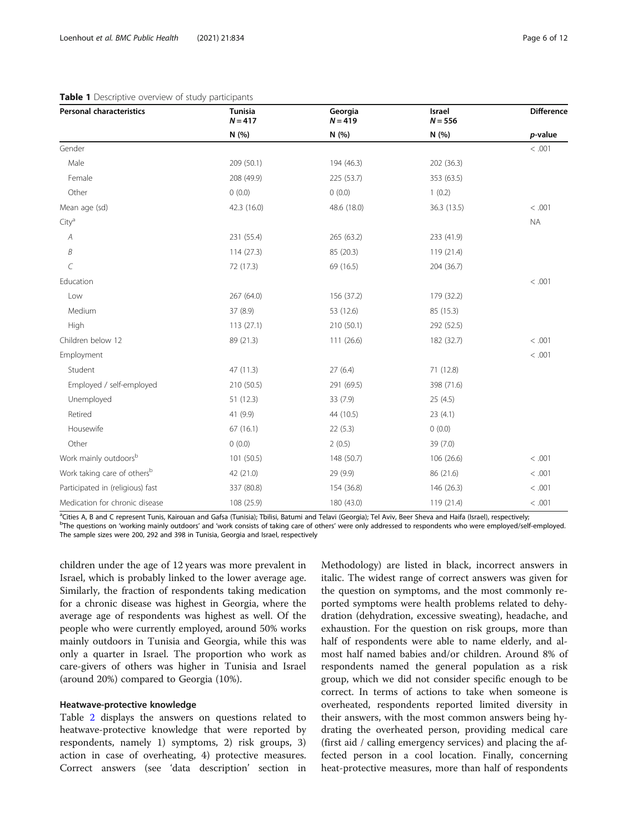| <b>Personal characteristics</b>         | <b>Tunisia</b><br>$N = 417$ | Georgia<br>$N = 419$ | Israel<br>$N = 556$ | <b>Difference</b> |
|-----------------------------------------|-----------------------------|----------------------|---------------------|-------------------|
|                                         | N (%)                       | N (%)                | N (%)               | p-value           |
| Gender                                  |                             |                      |                     | < .001            |
| Male                                    | 209 (50.1)                  | 194 (46.3)           | 202 (36.3)          |                   |
| Female                                  | 208 (49.9)                  | 225 (53.7)           | 353 (63.5)          |                   |
| Other                                   | 0(0.0)                      | 0(0.0)               | 1(0.2)              |                   |
| Mean age (sd)                           | 42.3 (16.0)                 | 48.6 (18.0)          | 36.3 (13.5)         | < .001            |
| City <sup>a</sup>                       |                             |                      |                     | <b>NA</b>         |
| A                                       | 231 (55.4)                  | 265 (63.2)           | 233 (41.9)          |                   |
| Β                                       | 114(27.3)                   | 85 (20.3)            | 119 (21.4)          |                   |
| C                                       | 72 (17.3)                   | 69 (16.5)            | 204 (36.7)          |                   |
| Education                               |                             |                      |                     | < .001            |
| Low                                     | 267 (64.0)                  | 156 (37.2)           | 179 (32.2)          |                   |
| Medium                                  | 37 (8.9)                    | 53 (12.6)            | 85 (15.3)           |                   |
| High                                    | 113(27.1)                   | 210 (50.1)           | 292 (52.5)          |                   |
| Children below 12                       | 89 (21.3)                   | 111 (26.6)           | 182 (32.7)          | < .001            |
| Employment                              |                             |                      |                     | < .001            |
| Student                                 | 47(11.3)                    | 27(6.4)              | 71 (12.8)           |                   |
| Employed / self-employed                | 210 (50.5)                  | 291 (69.5)           | 398 (71.6)          |                   |
| Unemployed                              | 51(12.3)                    | 33(7.9)              | 25(4.5)             |                   |
| Retired                                 | 41 (9.9)                    | 44 (10.5)            | 23(4.1)             |                   |
| Housewife                               | 67(16.1)                    | 22(5.3)              | 0(0.0)              |                   |
| Other                                   | 0(0.0)                      | 2(0.5)               | 39(7.0)             |                   |
| Work mainly outdoorsb                   | 101 (50.5)                  | 148 (50.7)           | 106 (26.6)          | < .001            |
| Work taking care of others <sup>b</sup> | 42 (21.0)                   | 29 (9.9)             | 86 (21.6)           | < .001            |
| Participated in (religious) fast        | 337 (80.8)                  | 154 (36.8)           | 146 (26.3)          | < .001            |
| Medication for chronic disease          | 108 (25.9)                  | 180 (43.0)           | 119 (21.4)          | < .001            |

## <span id="page-5-0"></span>Table 1 Descriptive overview of study participants

<sup>a</sup>Cities A, B and C represent Tunis, Kairouan and Gafsa (Tunisia); Tbilisi, Batumi and Telavi (Georgia); Tel Aviv, Beer Sheva and Haifa (Israel), respectively;<br>PThe questions on 'working mainly outdoors' and 'work consist <sup>b</sup>The questions on 'working mainly outdoors' and 'work consists of taking care of others' were only addressed to respondents who were employed/self-employed. The sample sizes were 200, 292 and 398 in Tunisia, Georgia and Israel, respectively

children under the age of 12 years was more prevalent in Israel, which is probably linked to the lower average age. Similarly, the fraction of respondents taking medication for a chronic disease was highest in Georgia, where the average age of respondents was highest as well. Of the people who were currently employed, around 50% works mainly outdoors in Tunisia and Georgia, while this was only a quarter in Israel. The proportion who work as care-givers of others was higher in Tunisia and Israel (around 20%) compared to Georgia (10%).

## Heatwave-protective knowledge

Table [2](#page-6-0) displays the answers on questions related to heatwave-protective knowledge that were reported by respondents, namely 1) symptoms, 2) risk groups, 3) action in case of overheating, 4) protective measures. Correct answers (see 'data description' section in

Methodology) are listed in black, incorrect answers in italic. The widest range of correct answers was given for the question on symptoms, and the most commonly reported symptoms were health problems related to dehydration (dehydration, excessive sweating), headache, and exhaustion. For the question on risk groups, more than half of respondents were able to name elderly, and almost half named babies and/or children. Around 8% of respondents named the general population as a risk group, which we did not consider specific enough to be correct. In terms of actions to take when someone is overheated, respondents reported limited diversity in their answers, with the most common answers being hydrating the overheated person, providing medical care (first aid / calling emergency services) and placing the affected person in a cool location. Finally, concerning heat-protective measures, more than half of respondents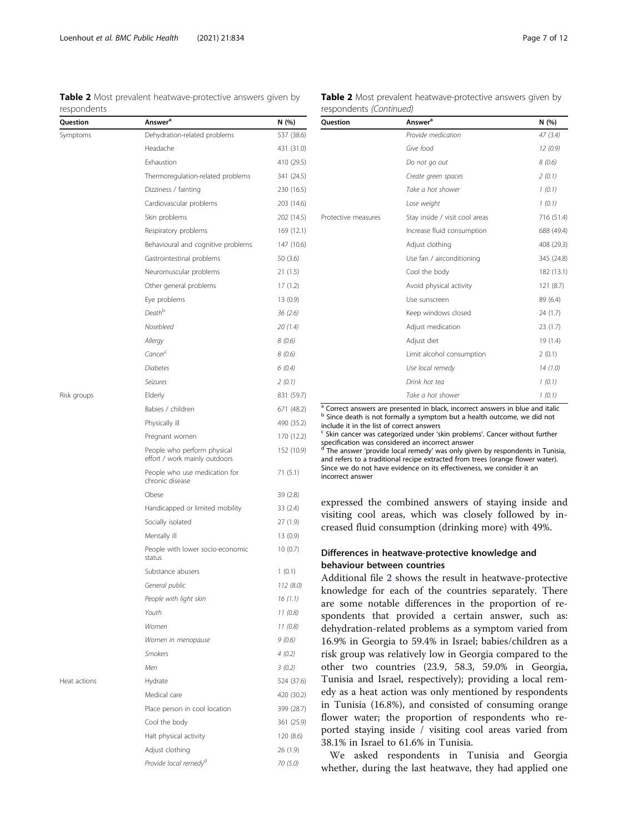<span id="page-6-0"></span>Table 2 Most prevalent heatwave-protective answers given by respondents

| Question     | <b>Answer</b> <sup>a</sup>                                   | N (%)      |
|--------------|--------------------------------------------------------------|------------|
| Symptoms     | Dehydration-related problems                                 | 537 (38.6) |
|              | Headache                                                     | 431 (31.0) |
|              | Exhaustion                                                   | 410 (29.5) |
|              | Thermoregulation-related problems                            | 341 (24.5) |
|              | Dizziness / fainting                                         | 230 (16.5) |
|              | Cardiovascular problems                                      | 203 (14.6) |
|              | Skin problems                                                | 202 (14.5) |
|              | Respiratory problems                                         | 169 (12.1) |
|              | Behavioural and cognitive problems                           | 147 (10.6) |
|              | Gastrointestinal problems                                    | 50 (3.6)   |
|              | Neuromuscular problems                                       | 21(1.5)    |
|              | Other general problems                                       | 17(1.2)    |
|              | Eye problems                                                 | 13 (0.9)   |
|              | Death <sup>b</sup>                                           | 36 (2.6)   |
|              | Nosebleed                                                    | 20 (1.4)   |
|              | Allergy                                                      | 8(0.6)     |
|              | Cancerc                                                      | 8(0.6)     |
|              | Diabetes                                                     | 6(0.4)     |
|              | Seizures                                                     | 2(0.1)     |
| Risk groups  | Elderly                                                      | 831 (59.7) |
|              | Babies / children                                            | 671 (48.2) |
|              | Physically ill                                               | 490 (35.2) |
|              | Pregnant women                                               | 170 (12.2) |
|              | People who perform physical<br>effort / work mainly outdoors | 152 (10.9) |
|              | People who use medication for<br>chronic disease             | 71(5.1)    |
|              | Obese                                                        | 39 (2.8)   |
|              | Handicapped or limited mobility                              | 33 (2.4)   |
|              | Socially isolated                                            | 27 (1.9)   |
|              | Mentally ill                                                 | 13 (0.9)   |
|              | People with lower socio-economic<br>status                   | 10(0.7)    |
|              | Substance abusers                                            | 1(0.1)     |
|              | General public                                               | 112 (8.0)  |
|              | People with light skin                                       | 16 (1.1)   |
|              | Youth                                                        | 11(0.8)    |
|              | Women                                                        | 11(0.8)    |
|              | Women in menopause                                           | 9(0.6)     |
|              | Smokers                                                      | 4(0.2)     |
|              | Men                                                          | 3(0.2)     |
| Heat actions | Hydrate                                                      | 524 (37.6) |
|              | Medical care                                                 | 420 (30.2) |
|              | Place person in cool location                                | 399 (28.7) |
|              | Cool the body                                                | 361 (25.9) |
|              | Halt physical activity                                       | 120 (8.6)  |
|              | Adjust clothing                                              | 26 (1.9)   |
|              | Provide local remedy <sup>a</sup>                            | 70 (5.0)   |

## Table 2 Most prevalent heatwave-protective answers given by respondents (Continued)

| <b>Ouestion</b>     | Answer <sup>a</sup>            | N (%)      |  |
|---------------------|--------------------------------|------------|--|
|                     | Provide medication             | 47(3.4)    |  |
|                     | Give food                      | 12(0.9)    |  |
|                     | Do not go out                  | 8(0.6)     |  |
|                     | Create green spaces            | 2(0.1)     |  |
|                     | Take a hot shower              | 1(0.1)     |  |
|                     | Lose weight                    | 1(0.1)     |  |
| Protective measures | Stay inside / visit cool areas | 716 (51.4) |  |
|                     | Increase fluid consumption     | 688 (49.4) |  |
|                     | Adjust clothing                | 408 (29.3) |  |
|                     | Use fan / airconditioning      | 345 (24.8) |  |
|                     | Cool the body                  | 182 (13.1) |  |
|                     | Avoid physical activity        | 121(8.7)   |  |
|                     | Use sunscreen                  | 89 (6.4)   |  |
|                     | Keep windows closed            | 24(1.7)    |  |
|                     | Adjust medication              | 23(1.7)    |  |
|                     | Adjust diet                    | 19 (1.4)   |  |
|                     | Limit alcohol consumption      | 2(0.1)     |  |
|                     | Use local remedy               | 14(1.0)    |  |
|                     | Drink hot tea                  | 1(0.1)     |  |
|                     | Take a hot shower              | 1(0.1)     |  |

<sup>a</sup> Correct answers are presented in black, incorrect answers in blue and italic b Since death is not formally a symptom but a health outcome, we did not include it in the list of correct answers

<sup>c</sup> Skin cancer was categorized under 'skin problems'. Cancer without further specification was considered an incorrect answer

The answer 'provide local remedy' was only given by respondents in Tunisia, and refers to a traditional recipe extracted from trees (orange flower water). Since we do not have evidence on its effectiveness, we consider it an incorrect answer

expressed the combined answers of staying inside and visiting cool areas, which was closely followed by increased fluid consumption (drinking more) with 49%.

## Differences in heatwave-protective knowledge and behaviour between countries

Additional file [2](#page-10-0) shows the result in heatwave-protective knowledge for each of the countries separately. There are some notable differences in the proportion of respondents that provided a certain answer, such as: dehydration-related problems as a symptom varied from 16.9% in Georgia to 59.4% in Israel; babies/children as a risk group was relatively low in Georgia compared to the other two countries (23.9, 58.3, 59.0% in Georgia, Tunisia and Israel, respectively); providing a local remedy as a heat action was only mentioned by respondents in Tunisia (16.8%), and consisted of consuming orange flower water; the proportion of respondents who reported staying inside / visiting cool areas varied from 38.1% in Israel to 61.6% in Tunisia.

We asked respondents in Tunisia and Georgia whether, during the last heatwave, they had applied one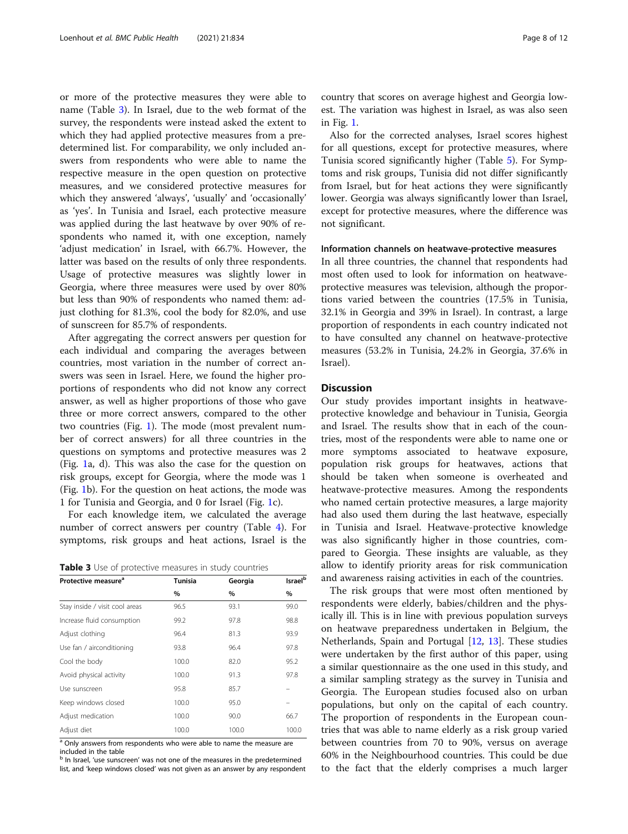or more of the protective measures they were able to name (Table 3). In Israel, due to the web format of the survey, the respondents were instead asked the extent to which they had applied protective measures from a predetermined list. For comparability, we only included answers from respondents who were able to name the respective measure in the open question on protective measures, and we considered protective measures for which they answered 'always', 'usually' and 'occasionally' as 'yes'. In Tunisia and Israel, each protective measure was applied during the last heatwave by over 90% of respondents who named it, with one exception, namely 'adjust medication' in Israel, with 66.7%. However, the latter was based on the results of only three respondents. Usage of protective measures was slightly lower in Georgia, where three measures were used by over 80% but less than 90% of respondents who named them: adjust clothing for 81.3%, cool the body for 82.0%, and use of sunscreen for 85.7% of respondents.

After aggregating the correct answers per question for each individual and comparing the averages between countries, most variation in the number of correct answers was seen in Israel. Here, we found the higher proportions of respondents who did not know any correct answer, as well as higher proportions of those who gave three or more correct answers, compared to the other two countries (Fig. [1\)](#page-8-0). The mode (most prevalent number of correct answers) for all three countries in the questions on symptoms and protective measures was 2 (Fig. [1](#page-8-0)a, d). This was also the case for the question on risk groups, except for Georgia, where the mode was 1 (Fig. [1](#page-8-0)b). For the question on heat actions, the mode was 1 for Tunisia and Georgia, and 0 for Israel (Fig. [1c](#page-8-0)).

For each knowledge item, we calculated the average number of correct answers per country (Table [4\)](#page-8-0). For symptoms, risk groups and heat actions, Israel is the

| Table 3 Use of protective measures in study countries |  |  |  |  |
|-------------------------------------------------------|--|--|--|--|
|-------------------------------------------------------|--|--|--|--|

| Protective measure <sup>a</sup> | <b>Tunisia</b> | Georgia | Israel <sup>b</sup> |
|---------------------------------|----------------|---------|---------------------|
|                                 | %              | %       | %                   |
| Stay inside / visit cool areas  | 96.5           | 93.1    | 99.0                |
| Increase fluid consumption      | 99.2           | 97.8    | 98.8                |
| Adjust clothing                 | 96.4           | 81.3    | 93.9                |
| Use fan / airconditioning       | 93.8           | 96.4    | 97.8                |
| Cool the body                   | 100.0          | 82.0    | 95.2                |
| Avoid physical activity         | 100.0          | 91.3    | 97.8                |
| Use sunscreen                   | 95.8           | 85.7    |                     |
| Keep windows closed             | 100.0          | 95.0    |                     |
| Adjust medication               | 100.0          | 90.0    | 66.7                |
| Adjust diet                     | 100.0          | 100.0   | 100.0               |

<sup>a</sup> Only answers from respondents who were able to name the measure are included in the table

b In Israel, 'use sunscreen' was not one of the measures in the predetermined list, and 'keep windows closed' was not given as an answer by any respondent country that scores on average highest and Georgia lowest. The variation was highest in Israel, as was also seen in Fig. [1](#page-8-0).

Also for the corrected analyses, Israel scores highest for all questions, except for protective measures, where Tunisia scored significantly higher (Table [5\)](#page-9-0). For Symptoms and risk groups, Tunisia did not differ significantly from Israel, but for heat actions they were significantly lower. Georgia was always significantly lower than Israel, except for protective measures, where the difference was not significant.

#### Information channels on heatwave-protective measures

In all three countries, the channel that respondents had most often used to look for information on heatwaveprotective measures was television, although the proportions varied between the countries (17.5% in Tunisia, 32.1% in Georgia and 39% in Israel). In contrast, a large proportion of respondents in each country indicated not to have consulted any channel on heatwave-protective measures (53.2% in Tunisia, 24.2% in Georgia, 37.6% in Israel).

## **Discussion**

Our study provides important insights in heatwaveprotective knowledge and behaviour in Tunisia, Georgia and Israel. The results show that in each of the countries, most of the respondents were able to name one or more symptoms associated to heatwave exposure, population risk groups for heatwaves, actions that should be taken when someone is overheated and heatwave-protective measures. Among the respondents who named certain protective measures, a large majority had also used them during the last heatwave, especially in Tunisia and Israel. Heatwave-protective knowledge was also significantly higher in those countries, compared to Georgia. These insights are valuable, as they allow to identify priority areas for risk communication and awareness raising activities in each of the countries.

The risk groups that were most often mentioned by respondents were elderly, babies/children and the physically ill. This is in line with previous population surveys on heatwave preparedness undertaken in Belgium, the Netherlands, Spain and Portugal [\[12](#page-10-0), [13\]](#page-10-0). These studies were undertaken by the first author of this paper, using a similar questionnaire as the one used in this study, and a similar sampling strategy as the survey in Tunisia and Georgia. The European studies focused also on urban populations, but only on the capital of each country. The proportion of respondents in the European countries that was able to name elderly as a risk group varied between countries from 70 to 90%, versus on average 60% in the Neighbourhood countries. This could be due to the fact that the elderly comprises a much larger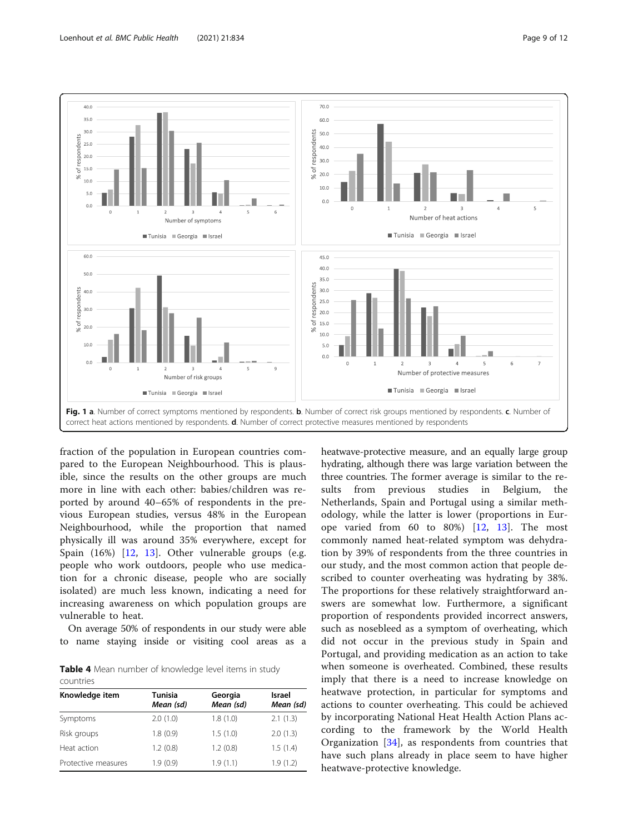

<span id="page-8-0"></span>

fraction of the population in European countries compared to the European Neighbourhood. This is plausible, since the results on the other groups are much more in line with each other: babies/children was reported by around 40–65% of respondents in the previous European studies, versus 48% in the European Neighbourhood, while the proportion that named physically ill was around 35% everywhere, except for Spain (16%) [[12,](#page-10-0) [13](#page-10-0)]. Other vulnerable groups (e.g. people who work outdoors, people who use medication for a chronic disease, people who are socially isolated) are much less known, indicating a need for increasing awareness on which population groups are vulnerable to heat.

On average 50% of respondents in our study were able to name staying inside or visiting cool areas as a

Table 4 Mean number of knowledge level items in study countries

| Knowledge item      | Tunisia<br>Mean (sd) | Georgia<br>Mean (sd) | <b>Israel</b><br>Mean (sd) |  |
|---------------------|----------------------|----------------------|----------------------------|--|
| Symptoms            | 2.0(1.0)             | 1.8(1.0)             | 2.1(1.3)                   |  |
| Risk groups         | 1.8(0.9)             | 1.5(1.0)             | 2.0(1.3)                   |  |
| Heat action         | 1.2(0.8)             | 1.2(0.8)             | 1.5(1.4)                   |  |
| Protective measures | 1.9(0.9)             | 1.9(1.1)             | 1.9(1.2)                   |  |

heatwave-protective measure, and an equally large group hydrating, although there was large variation between the three countries. The former average is similar to the results from previous studies in Belgium, the Netherlands, Spain and Portugal using a similar methodology, while the latter is lower (proportions in Europe varied from 60 to 80%)  $[12, 13]$  $[12, 13]$  $[12, 13]$  $[12, 13]$  $[12, 13]$ . The most commonly named heat-related symptom was dehydration by 39% of respondents from the three countries in our study, and the most common action that people described to counter overheating was hydrating by 38%. The proportions for these relatively straightforward answers are somewhat low. Furthermore, a significant proportion of respondents provided incorrect answers, such as nosebleed as a symptom of overheating, which did not occur in the previous study in Spain and Portugal, and providing medication as an action to take when someone is overheated. Combined, these results imply that there is a need to increase knowledge on heatwave protection, in particular for symptoms and actions to counter overheating. This could be achieved by incorporating National Heat Health Action Plans according to the framework by the World Health Organization [[34\]](#page-11-0), as respondents from countries that have such plans already in place seem to have higher heatwave-protective knowledge.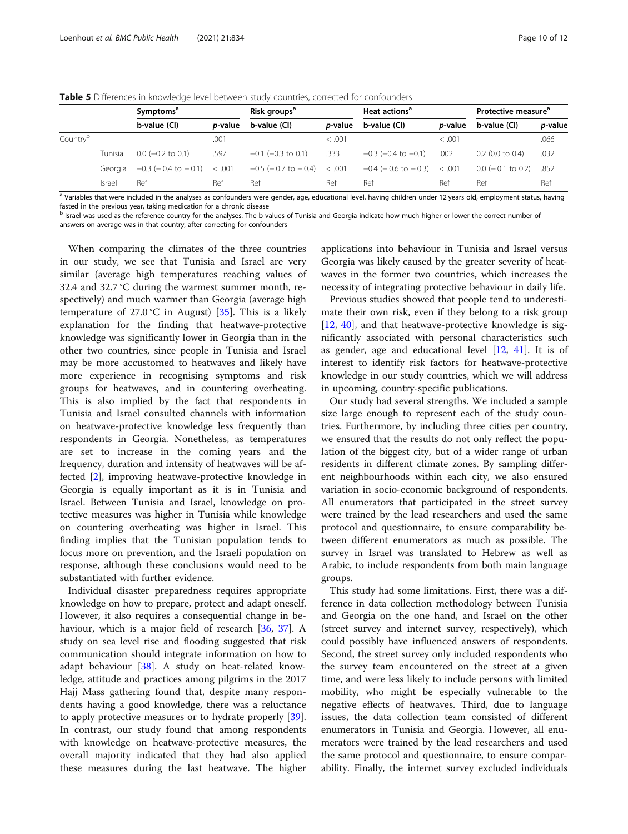|                      |         | Symptoms <sup>a</sup>       |                 | Risk groups <sup>a</sup>    |                 | Heat actions <sup>a</sup>            |                 | Protective measure <sup>a</sup> |                 |
|----------------------|---------|-----------------------------|-----------------|-----------------------------|-----------------|--------------------------------------|-----------------|---------------------------------|-----------------|
|                      |         | b-value (CI)                | <i>p</i> -value | b-value (CI)                | <i>p</i> -value | b-value (CI)                         | <i>p</i> -value | b-value (CI)                    | <i>p</i> -value |
| Country <sup>p</sup> |         |                             | .001            |                             | < 0.001         |                                      | < 0.001         |                                 | .066            |
|                      | Tunisia | $0.0$ (-0.2 to 0.1)         | .597            | $-0.1$ ( $-0.3$ to 0.1)     | .333            | $-0.3$ ( $-0.4$ to $-0.1$ )          | .002            | $0.2$ (0.0 to 0.4)              | .032            |
|                      | Georgia | $-0.3$ ( $-0.4$ to $-0.1$ ) | < .001          | $-0.5$ ( $-0.7$ to $-0.4$ ) | < .001          | $-0.4$ ( $-0.6$ to $-0.3$ ) $< .001$ |                 | $0.0$ ( $-0.1$ to 0.2)          | .852            |
|                      | Israel  | Ref                         | Ref             | Ref                         | Ref             | Ref                                  | Ref             | Ref                             | Ref             |

<span id="page-9-0"></span>Table 5 Differences in knowledge level between study countries, corrected for confounders

<sup>a</sup> Variables that were included in the analyses as confounders were gender, age, educational level, having children under 12 years old, employment status, having fasted in the previous year, taking medication for a chronic disease

**b** Israel was used as the reference country for the analyses. The b-values of Tunisia and Georgia indicate how much higher or lower the correct number of answers on average was in that country, after correcting for confounders

When comparing the climates of the three countries in our study, we see that Tunisia and Israel are very similar (average high temperatures reaching values of 32.4 and 32.7 °C during the warmest summer month, respectively) and much warmer than Georgia (average high temperature of 27.0 °C in August) [[35\]](#page-11-0). This is a likely explanation for the finding that heatwave-protective knowledge was significantly lower in Georgia than in the other two countries, since people in Tunisia and Israel may be more accustomed to heatwaves and likely have more experience in recognising symptoms and risk groups for heatwaves, and in countering overheating. This is also implied by the fact that respondents in Tunisia and Israel consulted channels with information on heatwave-protective knowledge less frequently than respondents in Georgia. Nonetheless, as temperatures are set to increase in the coming years and the frequency, duration and intensity of heatwaves will be affected [\[2](#page-10-0)], improving heatwave-protective knowledge in Georgia is equally important as it is in Tunisia and Israel. Between Tunisia and Israel, knowledge on protective measures was higher in Tunisia while knowledge on countering overheating was higher in Israel. This finding implies that the Tunisian population tends to focus more on prevention, and the Israeli population on response, although these conclusions would need to be substantiated with further evidence.

Individual disaster preparedness requires appropriate knowledge on how to prepare, protect and adapt oneself. However, it also requires a consequential change in behaviour, which is a major field of research [[36](#page-11-0), [37\]](#page-11-0). A study on sea level rise and flooding suggested that risk communication should integrate information on how to adapt behaviour [[38\]](#page-11-0). A study on heat-related knowledge, attitude and practices among pilgrims in the 2017 Hajj Mass gathering found that, despite many respondents having a good knowledge, there was a reluctance to apply protective measures or to hydrate properly [\[39](#page-11-0)]. In contrast, our study found that among respondents with knowledge on heatwave-protective measures, the overall majority indicated that they had also applied these measures during the last heatwave. The higher applications into behaviour in Tunisia and Israel versus Georgia was likely caused by the greater severity of heatwaves in the former two countries, which increases the necessity of integrating protective behaviour in daily life.

Previous studies showed that people tend to underestimate their own risk, even if they belong to a risk group [[12,](#page-10-0) [40](#page-11-0)], and that heatwave-protective knowledge is significantly associated with personal characteristics such as gender, age and educational level  $[12, 41]$  $[12, 41]$  $[12, 41]$  $[12, 41]$ . It is of interest to identify risk factors for heatwave-protective knowledge in our study countries, which we will address in upcoming, country-specific publications.

Our study had several strengths. We included a sample size large enough to represent each of the study countries. Furthermore, by including three cities per country, we ensured that the results do not only reflect the population of the biggest city, but of a wider range of urban residents in different climate zones. By sampling different neighbourhoods within each city, we also ensured variation in socio-economic background of respondents. All enumerators that participated in the street survey were trained by the lead researchers and used the same protocol and questionnaire, to ensure comparability between different enumerators as much as possible. The survey in Israel was translated to Hebrew as well as Arabic, to include respondents from both main language groups.

This study had some limitations. First, there was a difference in data collection methodology between Tunisia and Georgia on the one hand, and Israel on the other (street survey and internet survey, respectively), which could possibly have influenced answers of respondents. Second, the street survey only included respondents who the survey team encountered on the street at a given time, and were less likely to include persons with limited mobility, who might be especially vulnerable to the negative effects of heatwaves. Third, due to language issues, the data collection team consisted of different enumerators in Tunisia and Georgia. However, all enumerators were trained by the lead researchers and used the same protocol and questionnaire, to ensure comparability. Finally, the internet survey excluded individuals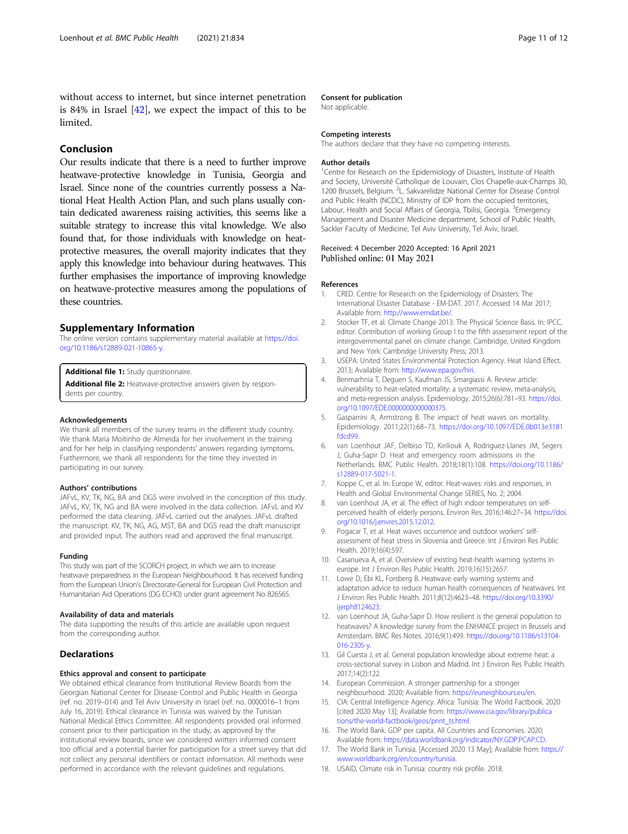<span id="page-10-0"></span>without access to internet, but since internet penetration is 84% in Israel [\[42](#page-11-0)], we expect the impact of this to be limited.

## Conclusion

Our results indicate that there is a need to further improve heatwave-protective knowledge in Tunisia, Georgia and Israel. Since none of the countries currently possess a National Heat Health Action Plan, and such plans usually contain dedicated awareness raising activities, this seems like a suitable strategy to increase this vital knowledge. We also found that, for those individuals with knowledge on heatprotective measures, the overall majority indicates that they apply this knowledge into behaviour during heatwaves. This further emphasises the importance of improving knowledge on heatwave-protective measures among the populations of these countries.

## Supplementary Information

The online version contains supplementary material available at [https://doi.](https://doi.org/10.1186/s12889-021-10865-y) [org/10.1186/s12889-021-10865-y](https://doi.org/10.1186/s12889-021-10865-y).

Additional file 1: Study questionnaire.

Additional file 2: Heatwave-protective answers given by respondents per country.

#### Acknowledgements

We thank all members of the survey teams in the different study country. We thank Maria Moitinho de Almeida for her involvement in the training and for her help in classifying respondents' answers regarding symptoms. Furthermore, we thank all respondents for the time they invested in participating in our survey.

#### Authors' contributions

JAFvL, KV, TK, NG, BA and DGS were involved in the conception of this study. JAFvL, KV, TK, NG and BA were involved in the data collection. JAFvL and KV performed the data cleaning. JAFvL carried out the analyses. JAFvL drafted the manuscript. KV, TK, NG, AG, MST, BA and DGS read the draft manuscript and provided input. The authors read and approved the final manuscript.

#### Funding

This study was part of the SCORCH project, in which we aim to increase heatwave preparedness in the European Neighbourhood. It has received funding from the European Union's Directorate-General for European Civil Protection and Humanitarian Aid Operations (DG ECHO) under grant agreement No 826565.

#### Availability of data and materials

The data supporting the results of this article are available upon request from the corresponding author.

## Declarations

#### Ethics approval and consent to participate

We obtained ethical clearance from Institutional Review Boards from the Georgian National Center for Disease Control and Public Health in Georgia (ref. no. 2019–014) and Tel Aviv University in Israel (ref. no. 0000016–1 from July 16, 2019). Ethical clearance in Tunisia was waived by the Tunisian National Medical Ethics Committee. All respondents provided oral informed consent prior to their participation in the study, as approved by the institutional review boards, since we considered written informed consent too official and a potential barrier for participation for a street survey that did not collect any personal identifiers or contact information. All methods were performed in accordance with the relevant guidelines and regulations.

#### Consent for publication

Not applicable.

#### Competing interests

The authors declare that they have no competing interests.

#### Author details

<sup>1</sup> Centre for Research on the Epidemiology of Disasters, Institute of Health and Society, Université Catholique de Louvain, Clos Chapelle-aux-Champs 30, 1200 Brussels, Belgium. <sup>2</sup>L. Sakvarelidze National Center for Disease Control and Public Health (NCDC), Ministry of IDP from the occupied territories, Labour, Health and Social Affairs of Georgia, Tbilisi, Georgia. <sup>3</sup>Emergency Management and Disaster Medicine department, School of Public Health, Sackler Faculty of Medicine, Tel Aviv University, Tel Aviv, Israel.

## Received: 4 December 2020 Accepted: 16 April 2021 Published online: 01 May 2021

#### References

- 1. CRED. Centre for Research on the Epidemiology of Disasters: The International Disaster Database - EM-DAT. 2017. Accessed 14 Mar 2017; Available from: <http://www.emdat.be/>.
- 2. Stocker TF, et al. Climate Change 2013: The Physical Science Basis. In: IPCC, editor. Contribution of working Group I to the fifth assessment report of the intergovernmental panel on climate change. Cambridge, United Kingdom and New York: Cambridge University Press; 2013.
- 3. USEPA: United States Environmental Protection Agency. Heat Island Effect. 2013; Available from: <http://www.epa.gov/hiri>.
- 4. Benmarhnia T, Deguen S, Kaufman JS, Smargiassi A. Review article: vulnerability to heat-related mortality: a systematic review, meta-analysis, and meta-regression analysis. Epidemiology. 2015;26(6):781–93. [https://doi.](https://doi.org/10.1097/EDE.0000000000000375) [org/10.1097/EDE.0000000000000375.](https://doi.org/10.1097/EDE.0000000000000375)
- 5. Gasparrini A, Armstrong B. The impact of heat waves on mortality. Epidemiology. 2011;22(1):68–73. [https://doi.org/10.1097/EDE.0b013e3181](https://doi.org/10.1097/EDE.0b013e3181fdcd99) [fdcd99.](https://doi.org/10.1097/EDE.0b013e3181fdcd99)
- 6. van Loenhout JAF, Delbiso TD, Kiriliouk A, Rodriguez-Llanes JM, Segers J, Guha-Sapir D. Heat and emergency room admissions in the Netherlands. BMC Public Health. 2018;18(1):108. [https://doi.org/10.1186/](https://doi.org/10.1186/s12889-017-5021-1) [s12889-017-5021-1](https://doi.org/10.1186/s12889-017-5021-1).
- 7. Koppe C, et al. In: Europe W, editor. Heat-waves: risks and responses, in Health and Global Environmental Change SERIES, No. 2; 2004.
- 8. van Loenhout JA, et al. The effect of high indoor temperatures on selfperceived health of elderly persons. Environ Res. 2016;146:27–34. [https://doi.](https://doi.org/10.1016/j.envres.2015.12.012) [org/10.1016/j.envres.2015.12.012](https://doi.org/10.1016/j.envres.2015.12.012).
- 9. Pogacar T, et al. Heat waves occurrence and outdoor workers' selfassessment of heat stress in Slovenia and Greece. Int J Environ Res Public Health. 2019;16(4):597.
- 10. Casanueva A, et al. Overview of existing heat-health warning systems in europe. Int J Environ Res Public Health. 2019;16(15):2657.
- 11. Lowe D, Ebi KL, Forsberg B. Heatwave early warning systems and adaptation advice to reduce human health consequences of heatwaves. Int J Environ Res Public Health. 2011;8(12):4623–48. [https://doi.org/10.3390/](https://doi.org/10.3390/ijerph8124623) [ijerph8124623.](https://doi.org/10.3390/ijerph8124623)
- 12. van Loenhout JA, Guha-Sapir D. How resilient is the general population to heatwaves? A knowledge survey from the ENHANCE project in Brussels and Amsterdam. BMC Res Notes. 2016;9(1):499. [https://doi.org/10.1186/s13104-](https://doi.org/10.1186/s13104-016-2305-y) [016-2305-y.](https://doi.org/10.1186/s13104-016-2305-y)
- 13. Gil Cuesta J, et al. General population knowledge about extreme heat: a cross-sectional survey in Lisbon and Madrid. Int J Environ Res Public Health. 2017;14(2):122.
- 14. European Commission. A stronger partnership for a stronger neighbourhood. 2020; Available from: <https://euneighbours.eu/en>.
- 15. CIA: Central Intelligence Agency. Africa: Tunisia: The World Factbook. 2020 [cited 2020 May 13]; Available from: [https://www.cia.gov/library/publica](https://www.cia.gov/library/publications/the-world-factbook/geos/print_ts.html) [tions/the-world-factbook/geos/print\\_ts.html](https://www.cia.gov/library/publications/the-world-factbook/geos/print_ts.html).
- 16. The World Bank. GDP per capita. All Countries and Economies. 2020; Available from: <https://data.worldbank.org/indicator/NY.GDP.PCAP.CD>.
- 17. The World Bank in Tunisia. [Accessed 2020 13 May]; Available from: [https://](https://www.worldbank.org/en/country/tunisia) [www.worldbank.org/en/country/tunisia](https://www.worldbank.org/en/country/tunisia).
- 18. USAID, Climate risk in Tunisia: country risk profile. 2018.